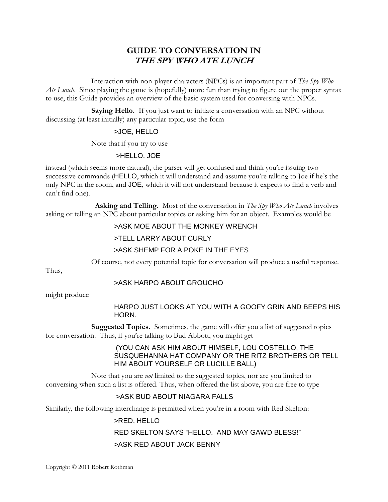# **GUIDE TO CONVERSATION IN THE SPY WHO ATE LUNCH**

Interaction with non-player characters (NPCs) is an important part of *The Spy Who Ate Lunch*. Since playing the game is (hopefully) more fun than trying to figure out the proper syntax to use, this Guide provides an overview of the basic system used for conversing with NPCs.

**Saying Hello.** If you just want to initiate a conversation with an NPC without discussing (at least initially) any particular topic, use the form

# >JOE, HELLO

Note that if you try to use

# >HELLO, JOE

instead (which seems more natural), the parser will get confused and think you're issuing two successive commands (HELLO, which it will understand and assume you're talking to Joe if he's the only NPC in the room, and JOE, which it will not understand because it expects to find a verb and can't find one).

 **Asking and Telling.** Most of the conversation in *The Spy Who Ate Lunch* involves asking or telling an NPC about particular topics or asking him for an object. Examples would be

#### >ASK MOE ABOUT THE MONKEY WRENCH

#### >TELL LARRY ABOUT CURLY

# >ASK SHEMP FOR A POKE IN THE EYES

Of course, not every potential topic for conversation will produce a useful response.

Thus,

# >ASK HARPO ABOUT GROUCHO

might produce

#### HARPO JUST LOOKS AT YOU WITH A GOOFY GRIN AND BEEPS HIS HORN.

**Suggested Topics.** Sometimes, the game will offer you a list of suggested topics for conversation. Thus, if you're talking to Bud Abbott, you might get

#### (YOU CAN ASK HIM ABOUT HIMSELF, LOU COSTELLO, THE SUSQUEHANNA HAT COMPANY OR THE RITZ BROTHERS OR TELL HIM ABOUT YOURSELF OR LUCILLE BALL)

Note that you are *not* limited to the suggested topics, nor are you limited to conversing when such a list is offered. Thus, when offered the list above, you are free to type

# >ASK BUD ABOUT NIAGARA FALLS

Similarly, the following interchange is permitted when you're in a room with Red Skelton:

# >RED, HELLO

# RED SKELTON SAYS "HELLO. AND MAY GAWD BLESS!"

# >ASK RED ABOUT JACK BENNY